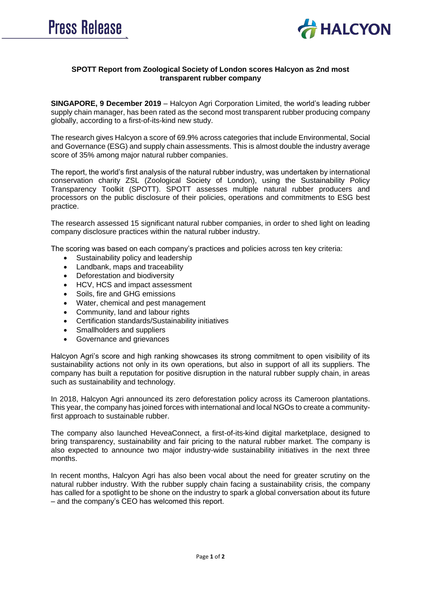



## **SPOTT Report from Zoological Society of London scores Halcyon as 2nd most transparent rubber company**

**SINGAPORE, 9 December 2019** – Halcyon Agri Corporation Limited, the world's leading rubber supply chain manager, has been rated as the second most transparent rubber producing company globally, according to a first-of-its-kind new study.

The research gives Halcyon a score of 69.9% across categories that include Environmental, Social and Governance (ESG) and supply chain assessments. This is almost double the industry average score of 35% among major natural rubber companies.

The report, the world's first analysis of the natural rubber industry, was undertaken by international conservation charity ZSL (Zoological Society of London), using the Sustainability Policy Transparency Toolkit (SPOTT). SPOTT assesses multiple natural rubber producers and processors on the public disclosure of their policies, operations and commitments to ESG best practice.

The research assessed 15 significant natural rubber companies, in order to shed light on leading company disclosure practices within the natural rubber industry.

The scoring was based on each company's practices and policies across ten key criteria:

- Sustainability policy and leadership
- Landbank, maps and traceability
- Deforestation and biodiversity
- HCV, HCS and impact assessment
- Soils, fire and GHG emissions
- Water, chemical and pest management
- Community, land and labour rights
- Certification standards/Sustainability initiatives
- Smallholders and suppliers
- Governance and grievances

Halcyon Agri's score and high ranking showcases its strong commitment to open visibility of its sustainability actions not only in its own operations, but also in support of all its suppliers. The company has built a reputation for positive disruption in the natural rubber supply chain, in areas such as sustainability and technology.

In 2018, Halcyon Agri announced its zero deforestation policy across its Cameroon plantations. This year, the company has joined forces with international and local NGOs to create a communityfirst approach to sustainable rubber.

The company also launched HeveaConnect, a first-of-its-kind digital marketplace, designed to bring transparency, sustainability and fair pricing to the natural rubber market. The company is also expected to announce two major industry-wide sustainability initiatives in the next three months.

In recent months, Halcyon Agri has also been vocal about the need for greater scrutiny on the natural rubber industry. With the rubber supply chain facing a sustainability crisis, the company has called for a spotlight to be shone on the industry to spark a global conversation about its future – and the company's CEO has welcomed this report.